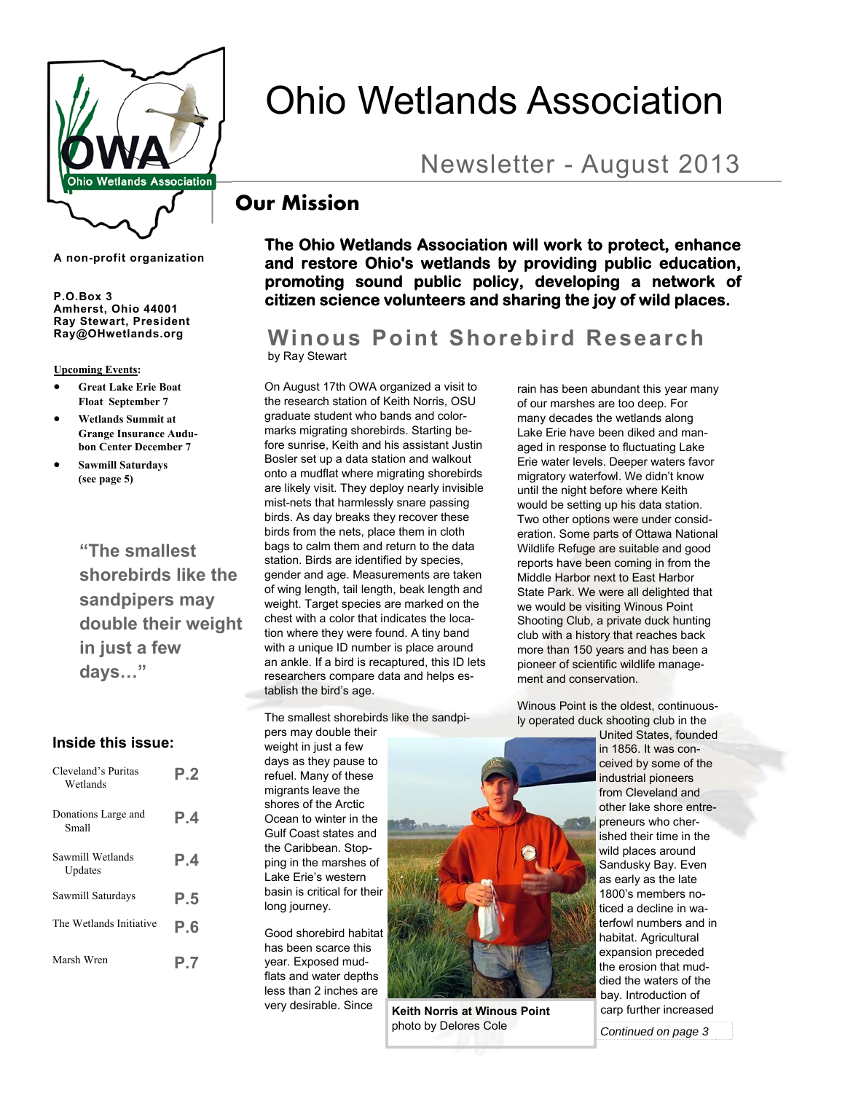

**A non-profit organization** 

**Amherst, Ohio 44001 Ray Stewart, President Ray@OHwetlands.org** 

#### **Upcoming Events:**

- **Great Lake Erie Boat Float September 7**
- **Wetlands Summit at Grange Insurance Audubon Center December 7**
- **Sawmill Saturdays (see page 5)**

**"The smallest shorebirds like the sandpipers may double their weight in just a few days…"** 

#### **Inside this issue:**

| Cleveland's Puritas<br>Wetlands | P.2 |
|---------------------------------|-----|
| Donations Large and<br>Small    | P 4 |
| Sawmill Wetlands<br>Updates     | Р.4 |
| Sawmill Saturdays               | P.5 |
| The Wetlands Initiative         | P.6 |
| Marsh Wren                      | P 7 |

# Ohio Wetlands Association

## Newsletter - August 2013

### **Our Mission**

**The Ohio Wetlands Association will work to protect, enhance and restore Ohio's wetlands by providing public education, promoting sound public policy, developing a network of citizen science volunteers and sharing the joy of wild places. P.O.Box 3** 

#### **Winous Point Shorebird Research**  by Ray Stewart

On August 17th OWA organized a visit to the research station of Keith Norris, OSU graduate student who bands and colormarks migrating shorebirds. Starting before sunrise, Keith and his assistant Justin Bosler set up a data station and walkout onto a mudflat where migrating shorebirds are likely visit. They deploy nearly invisible mist-nets that harmlessly snare passing birds. As day breaks they recover these birds from the nets, place them in cloth bags to calm them and return to the data station. Birds are identified by species, gender and age. Measurements are taken of wing length, tail length, beak length and weight. Target species are marked on the chest with a color that indicates the location where they were found. A tiny band with a unique ID number is place around an ankle. If a bird is recaptured, this ID lets researchers compare data and helps establish the bird's age.

The smallest shorebirds like the sandpi-

pers may double their weight in just a few days as they pause to refuel. Many of these migrants leave the shores of the Arctic Ocean to winter in the Gulf Coast states and the Caribbean. Stopping in the marshes of Lake Erie's western basin is critical for their long journey.

Good shorebird habitat has been scarce this year. Exposed mudflats and water depths less than 2 inches are very desirable. Since



**Keith Norris at Winous Point**  photo by Delores Cole *Continued on page 3* 

rain has been abundant this year many of our marshes are too deep. For many decades the wetlands along Lake Erie have been diked and managed in response to fluctuating Lake Erie water levels. Deeper waters favor migratory waterfowl. We didn't know until the night before where Keith would be setting up his data station. Two other options were under consideration. Some parts of Ottawa National Wildlife Refuge are suitable and good reports have been coming in from the Middle Harbor next to East Harbor State Park. We were all delighted that we would be visiting Winous Point Shooting Club, a private duck hunting club with a history that reaches back more than 150 years and has been a pioneer of scientific wildlife management and conservation.

Winous Point is the oldest, continuously operated duck shooting club in the

United States, founded in 1856. It was conceived by some of the industrial pioneers from Cleveland and other lake shore entrepreneurs who cherished their time in the wild places around Sandusky Bay. Even as early as the late 1800's members noticed a decline in waterfowl numbers and in habitat. Agricultural expansion preceded the erosion that muddied the waters of the bay. Introduction of carp further increased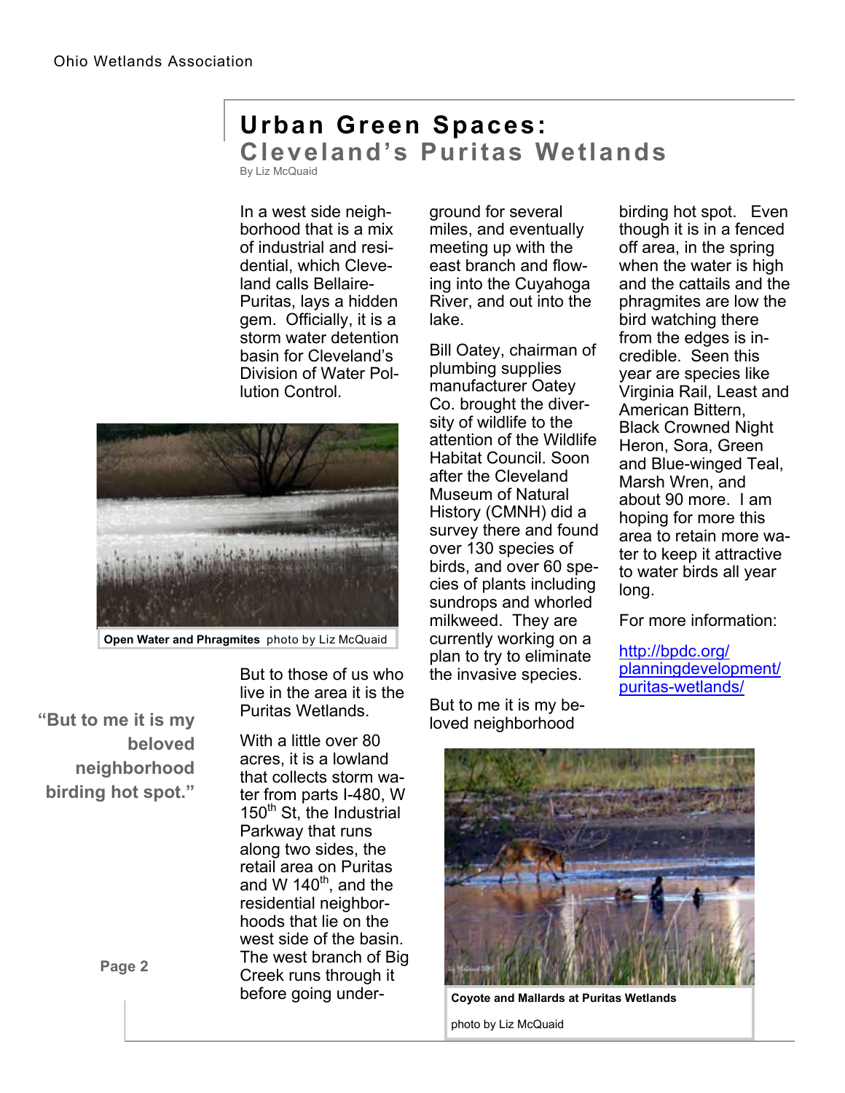# **Urban Green Spaces: Cleveland's Puritas Wetlands**

By Liz McQuaid

In a west side neighborhood that is a mix of industrial and residential, which Cleveland calls Bellaire-Puritas, lays a hidden gem. Officially, it is a storm water detention basin for Cleveland's Division of Water Pollution Control.



**Open Water and Phragmites** photo by Liz McQuaid

**"But to me it is my beloved neighborhood birding hot spot."** 

But to those of us who live in the area it is the Puritas Wetlands.

With a little over 80 acres, it is a lowland that collects storm water from parts I-480, W  $150<sup>th</sup>$  St, the Industrial Parkway that runs along two sides, the retail area on Puritas and W  $140<sup>th</sup>$ , and the residential neighborhoods that lie on the west side of the basin. The west branch of Big Creek runs through it before going under-

ground for several miles, and eventually meeting up with the east branch and flowing into the Cuyahoga River, and out into the lake.

Bill Oatey, chairman of plumbing supplies manufacturer Oatey Co. brought the diversity of wildlife to the attention of the Wildlife Habitat Council. Soon after the Cleveland Museum of Natural History (CMNH) did a survey there and found over 130 species of birds, and over 60 species of plants including sundrops and whorled milkweed. They are currently working on a plan to try to eliminate the invasive species.

But to me it is my beloved neighborhood

birding hot spot. Even though it is in a fenced off area, in the spring when the water is high and the cattails and the phragmites are low the bird watching there from the edges is incredible. Seen this year are species like Virginia Rail, Least and American Bittern, Black Crowned Night Heron, Sora, Green and Blue-winged Teal, Marsh Wren, and about 90 more. I am hoping for more this area to retain more water to keep it attractive to water birds all year long.

For more information:

http://bpdc.org/ planningdevelopment/ puritas-wetlands/



**Coyote and Mallards at Puritas Wetlands** 

photo by Liz McQuaid

**Page 2**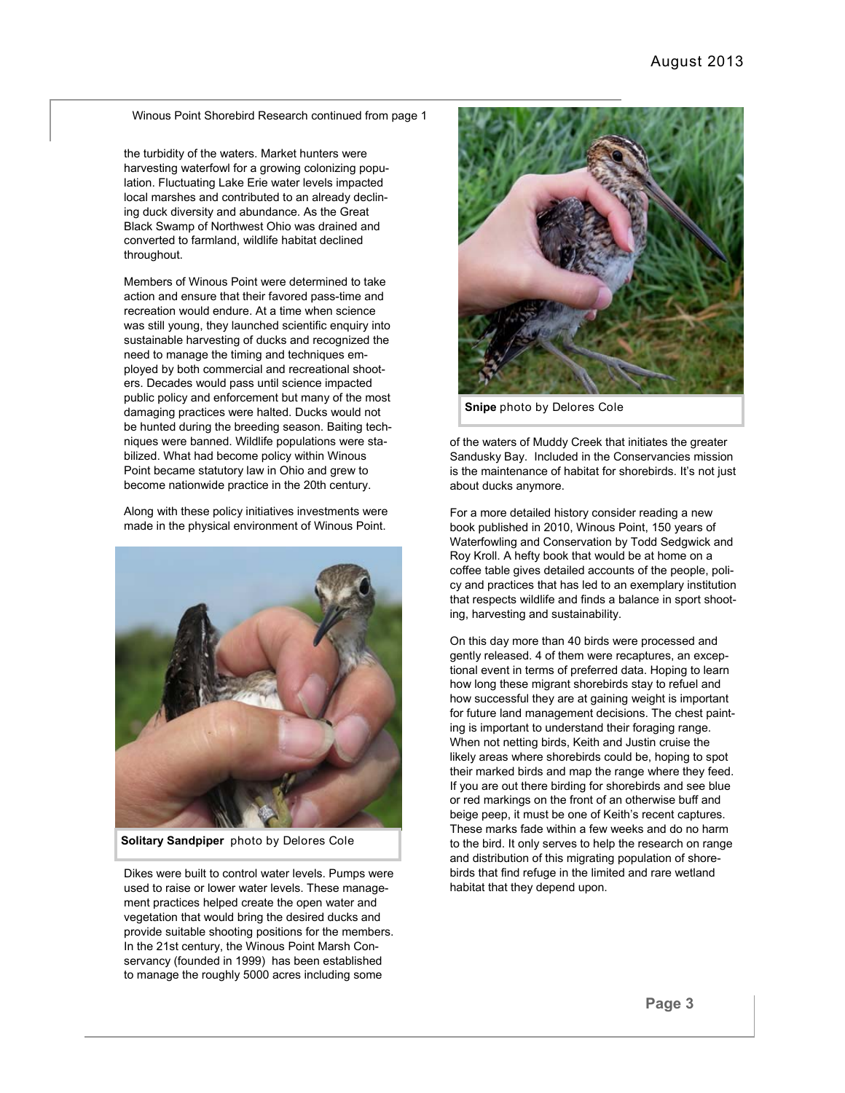Winous Point Shorebird Research continued from page 1

the turbidity of the waters. Market hunters were harvesting waterfowl for a growing colonizing population. Fluctuating Lake Erie water levels impacted local marshes and contributed to an already declining duck diversity and abundance. As the Great Black Swamp of Northwest Ohio was drained and converted to farmland, wildlife habitat declined throughout.

Members of Winous Point were determined to take action and ensure that their favored pass-time and recreation would endure. At a time when science was still young, they launched scientific enquiry into sustainable harvesting of ducks and recognized the need to manage the timing and techniques employed by both commercial and recreational shooters. Decades would pass until science impacted public policy and enforcement but many of the most damaging practices were halted. Ducks would not be hunted during the breeding season. Baiting techniques were banned. Wildlife populations were stabilized. What had become policy within Winous Point became statutory law in Ohio and grew to become nationwide practice in the 20th century.

Along with these policy initiatives investments were made in the physical environment of Winous Point.



**Solitary Sandpiper** photo by Delores Cole

Dikes were built to control water levels. Pumps were used to raise or lower water levels. These management practices helped create the open water and vegetation that would bring the desired ducks and provide suitable shooting positions for the members. In the 21st century, the Winous Point Marsh Conservancy (founded in 1999) has been established to manage the roughly 5000 acres including some



**Snipe** photo by Delores Cole

of the waters of Muddy Creek that initiates the greater Sandusky Bay. Included in the Conservancies mission is the maintenance of habitat for shorebirds. It's not just about ducks anymore.

For a more detailed history consider reading a new book published in 2010, Winous Point, 150 years of Waterfowling and Conservation by Todd Sedgwick and Roy Kroll. A hefty book that would be at home on a coffee table gives detailed accounts of the people, policy and practices that has led to an exemplary institution that respects wildlife and finds a balance in sport shooting, harvesting and sustainability.

On this day more than 40 birds were processed and gently released. 4 of them were recaptures, an exceptional event in terms of preferred data. Hoping to learn how long these migrant shorebirds stay to refuel and how successful they are at gaining weight is important for future land management decisions. The chest painting is important to understand their foraging range. When not netting birds, Keith and Justin cruise the likely areas where shorebirds could be, hoping to spot their marked birds and map the range where they feed. If you are out there birding for shorebirds and see blue or red markings on the front of an otherwise buff and beige peep, it must be one of Keith's recent captures. These marks fade within a few weeks and do no harm to the bird. It only serves to help the research on range and distribution of this migrating population of shorebirds that find refuge in the limited and rare wetland habitat that they depend upon.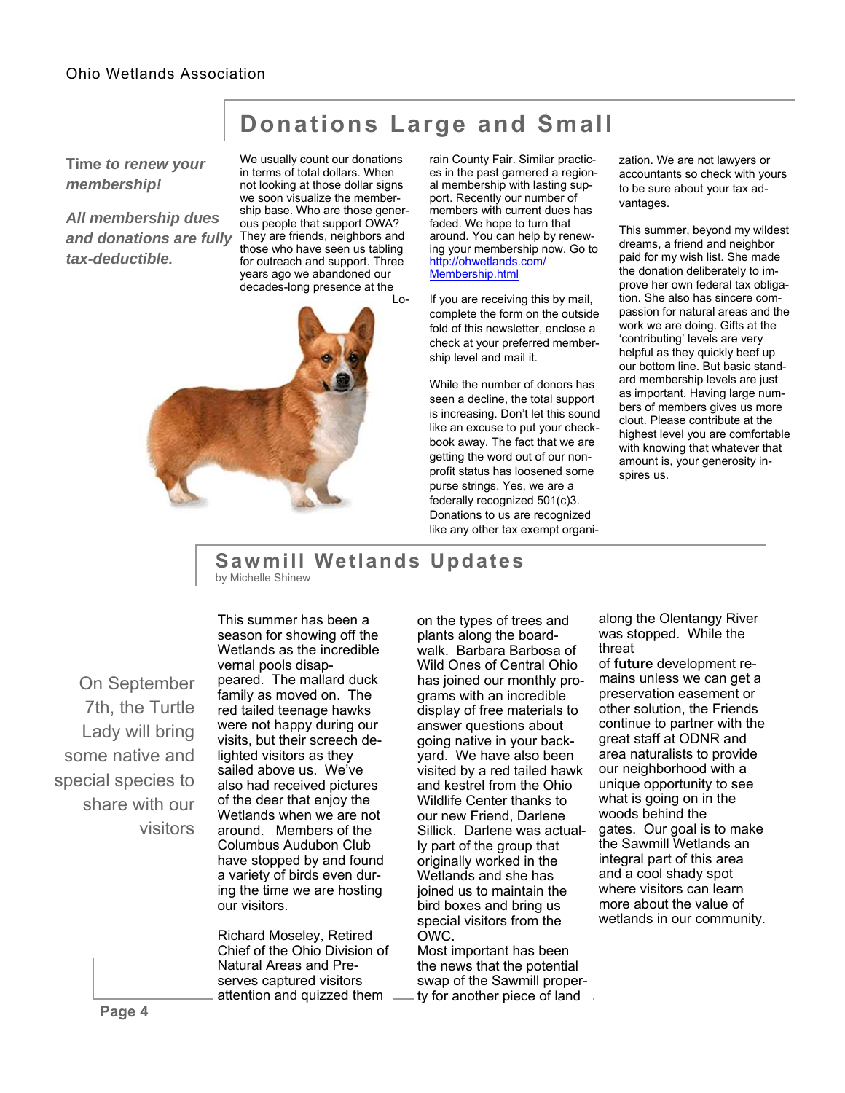## **Donations Large and Small**

**Time** *to renew your membership!*

*All membership dues tax-deductible.*

We usually count our donations in terms of total dollars. When not looking at those dollar signs we soon visualize the membership base. Who are those generous people that support OWA? and donations are fully They are friends, neighbors and those who have seen us tabling for outreach and support. Three years ago we abandoned our decades-long presence at the  $\overline{L}$ 



rain County Fair. Similar practices in the past garnered a regional membership with lasting support. Recently our number of members with current dues has faded. We hope to turn that around. You can help by renewing your membership now. Go to http://ohwetlands.com/ Membership.html

If you are receiving this by mail, complete the form on the outside fold of this newsletter, enclose a check at your preferred membership level and mail it.

While the number of donors has seen a decline, the total support is increasing. Don't let this sound like an excuse to put your checkbook away. The fact that we are getting the word out of our nonprofit status has loosened some purse strings. Yes, we are a federally recognized 501(c)3. Donations to us are recognized like any other tax exempt organization. We are not lawyers or accountants so check with yours to be sure about your tax advantages.

This summer, beyond my wildest dreams, a friend and neighbor paid for my wish list. She made the donation deliberately to improve her own federal tax obligation. She also has sincere compassion for natural areas and the work we are doing. Gifts at the 'contributing' levels are very helpful as they quickly beef up our bottom line. But basic standard membership levels are just as important. Having large numbers of members gives us more clout. Please contribute at the highest level you are comfortable with knowing that whatever that amount is, your generosity inspires us.

#### **Sawmill Wetlands Updates**  by Michelle Shinew

 On September 7th, the Turtle Lady will bring some native and special species to share with our visitors

This summer has been a season for showing off the Wetlands as the incredible vernal pools disappeared. The mallard duck family as moved on. The red tailed teenage hawks were not happy during our visits, but their screech delighted visitors as they sailed above us. We've also had received pictures of the deer that enjoy the Wetlands when we are not around. Members of the Columbus Audubon Club have stopped by and found a variety of birds even during the time we are hosting our visitors.

Richard Moseley, Retired Chief of the Ohio Division of Natural Areas and Preserves captured visitors attention and quizzed them on the types of trees and plants along the boardwalk. Barbara Barbosa of Wild Ones of Central Ohio has joined our monthly programs with an incredible display of free materials to answer questions about going native in your backyard. We have also been visited by a red tailed hawk and kestrel from the Ohio Wildlife Center thanks to our new Friend, Darlene Sillick. Darlene was actually part of the group that originally worked in the Wetlands and she has joined us to maintain the bird boxes and bring us special visitors from the OWC.

Most important has been the news that the potential swap of the Sawmill property for another piece of land

along the Olentangy River was stopped. While the threat

of **future** development remains unless we can get a preservation easement or other solution, the Friends continue to partner with the great staff at ODNR and area naturalists to provide our neighborhood with a unique opportunity to see what is going on in the woods behind the gates. Our goal is to make the Sawmill Wetlands an integral part of this area and a cool shady spot where visitors can learn more about the value of wetlands in our community.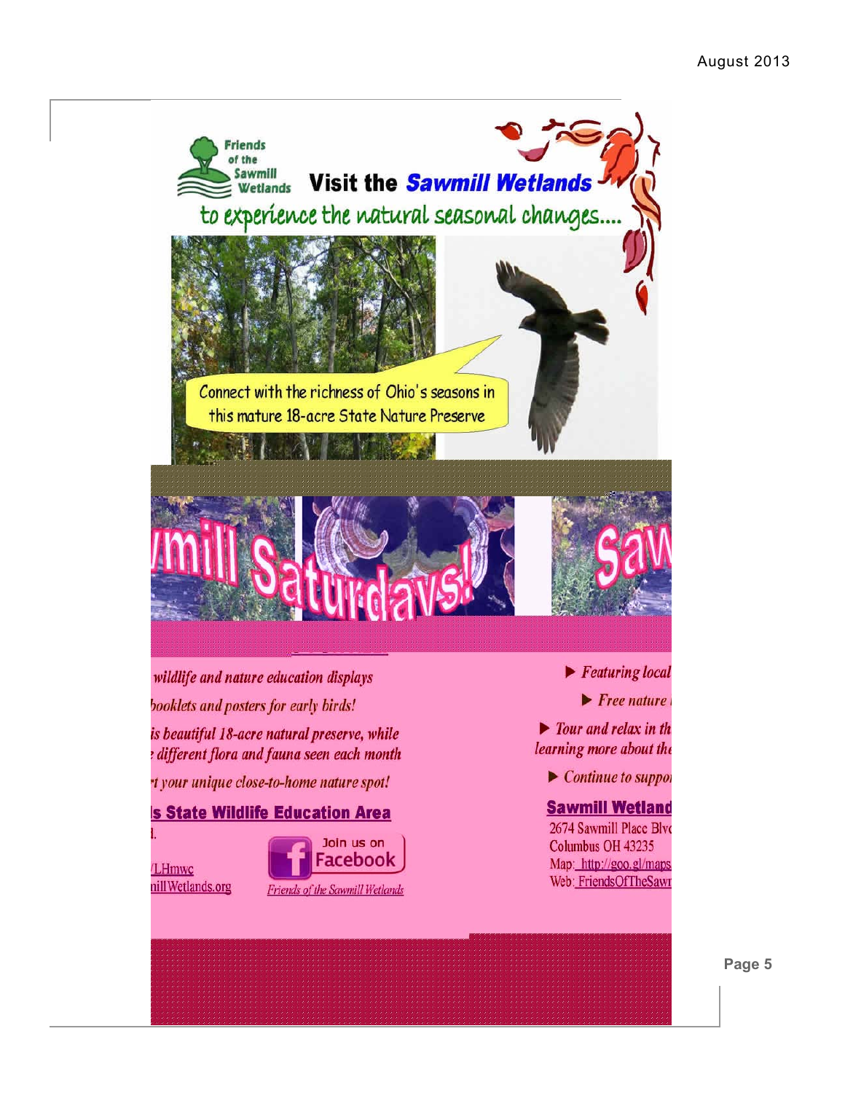

wildlife and nature education displays booklets and posters for early birds! is beautiful 18-acre natural preserve, while

different flora and fauna seen each month

t your unique close-to-home nature spot!

### **Is State Wildlife Education Area**

LHmwc nill Wetlands.org



 $\blacktriangleright$  Featuring local

 $\blacktriangleright$  Free nature

 $\triangleright$  Tour and relax in the learning more about the

 $\triangleright$  Continue to suppor

#### **Sawmill Wetland**

2674 Sawmill Place Blvc Columbus OH 43235 Map: http://goo.gl/maps Web: FriendsOfTheSawr

**Page 5**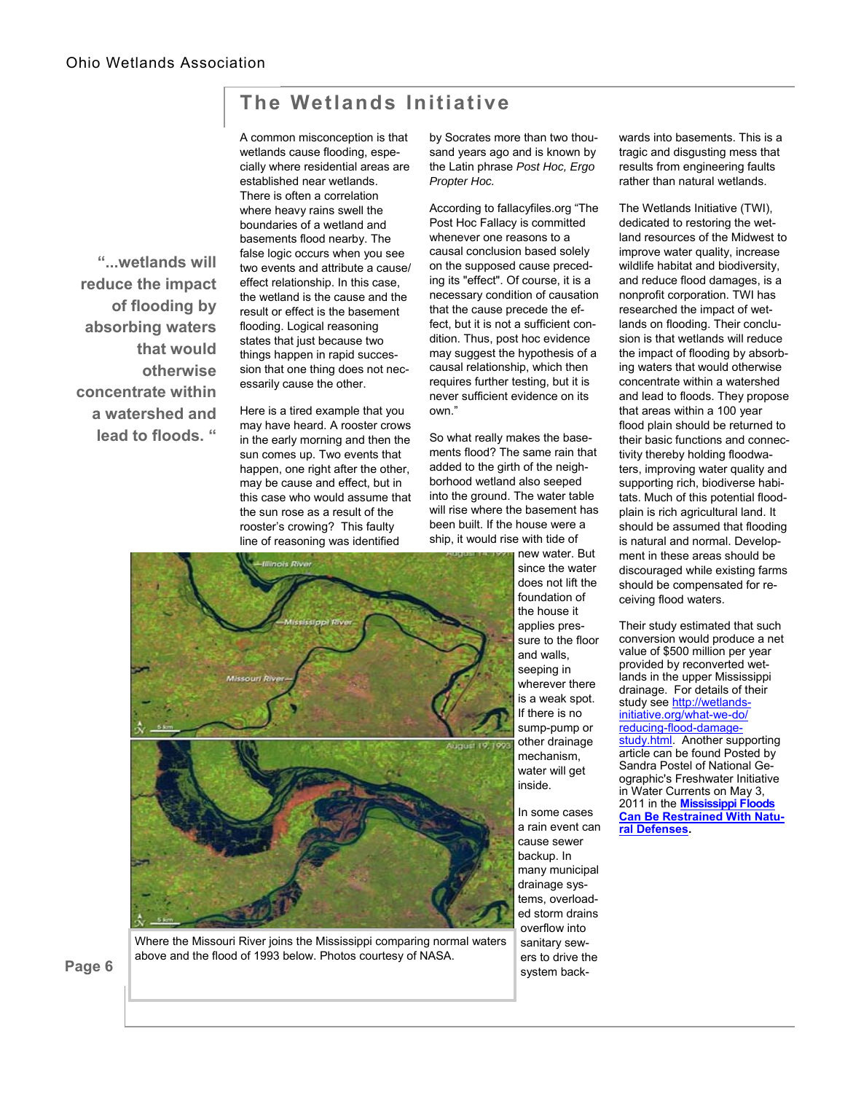### **The Wetlands Initiative**

**"...wetlands will reduce the impact of flooding by absorbing waters that would otherwise concentrate within a watershed and lead to floods. "**  A common misconception is that wetlands cause flooding, especially where residential areas are established near wetlands. There is often a correlation where heavy rains swell the boundaries of a wetland and basements flood nearby. The false logic occurs when you see two events and attribute a cause/ effect relationship. In this case, the wetland is the cause and the result or effect is the basement flooding. Logical reasoning states that just because two things happen in rapid succession that one thing does not necessarily cause the other.

Here is a tired example that you may have heard. A rooster crows in the early morning and then the sun comes up. Two events that happen, one right after the other, may be cause and effect, but in this case who would assume that the sun rose as a result of the rooster's crowing? This faulty line of reasoning was identified

by Socrates more than two thousand years ago and is known by the Latin phrase *Post Hoc, Ergo Propter Hoc.* 

According to fallacyfiles.org "The Post Hoc Fallacy is committed whenever one reasons to a causal conclusion based solely on the supposed cause preceding its "effect". Of course, it is a necessary condition of causation that the cause precede the effect, but it is not a sufficient condition. Thus, post hoc evidence may suggest the hypothesis of a causal relationship, which then requires further testing, but it is never sufficient evidence on its own."

So what really makes the basements flood? The same rain that added to the girth of the neighborhood wetland also seeped into the ground. The water table will rise where the basement has been built. If the house were a ship, it would rise with tide of new water. But



Where the Missouri River joins the Mississippi comparing normal waters above and the flood of 1993 below. Photos courtesy of NASA.

since the water does not lift the foundation of the house it applies pressure to the floor and walls, seeping in wherever there is a weak spot. If there is no sump-pump or other drainage mechanism, water will get inside.

In some cases a rain event can cause sewer backup. In many municipal drainage systems, overloaded storm drains overflow into sanitary sewers to drive the system backwards into basements. This is a tragic and disgusting mess that results from engineering faults rather than natural wetlands.

The Wetlands Initiative (TWI), dedicated to restoring the wetland resources of the Midwest to improve water quality, increase wildlife habitat and biodiversity, and reduce flood damages, is a nonprofit corporation. TWI has researched the impact of wetlands on flooding. Their conclusion is that wetlands will reduce the impact of flooding by absorbing waters that would otherwise concentrate within a watershed and lead to floods. They propose that areas within a 100 year flood plain should be returned to their basic functions and connectivity thereby holding floodwaters, improving water quality and supporting rich, biodiverse habitats. Much of this potential floodplain is rich agricultural land. It should be assumed that flooding is natural and normal. Development in these areas should be discouraged while existing farms should be compensated for receiving flood waters.

Their study estimated that such conversion would produce a net value of \$500 million per year provided by reconverted wetlands in the upper Mississippi drainage. For details of their study see http://wetlandsinitiative.org/what-we-do/ reducing-flood-damagestudy.html Another supporting article can be found Posted by Sandra Postel of National Geographic's Freshwater Initiative in Water Currents on May 3, 2011 in the **Mississippi Floods Can Be Restrained With Natural Defenses.**

**Page 6**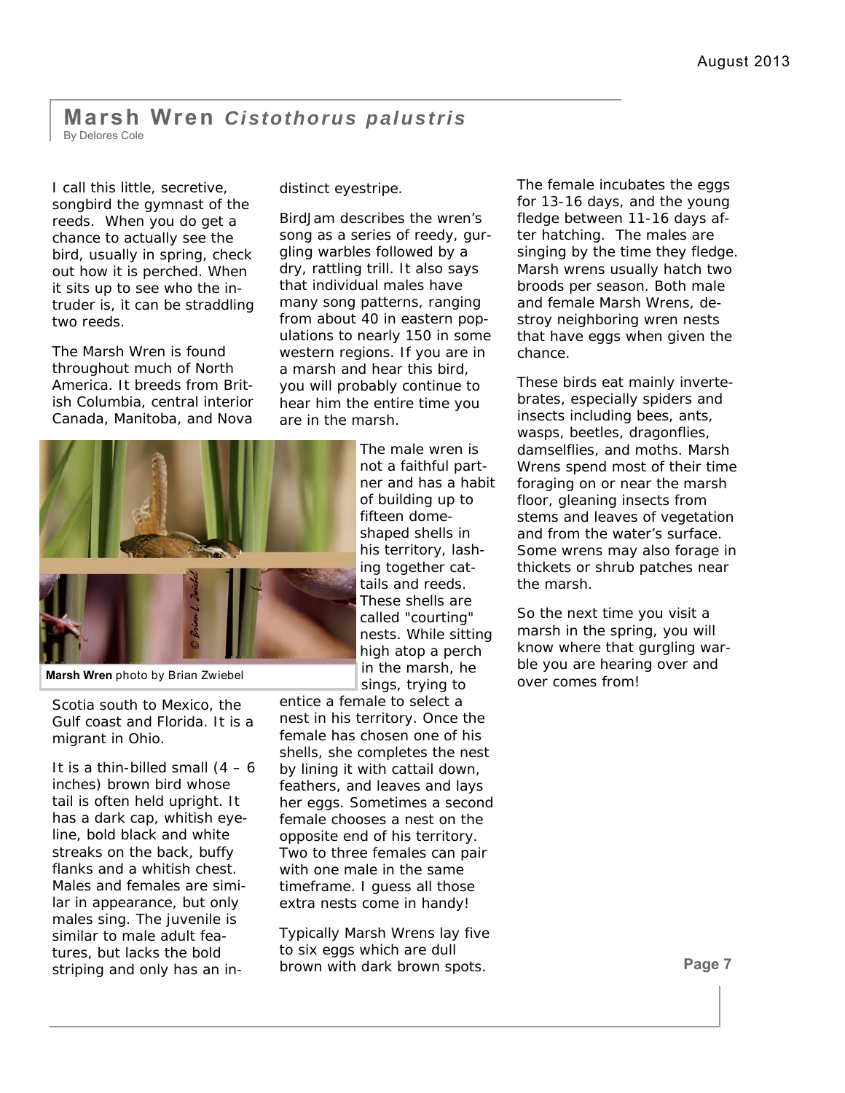# **Marsh Wren** *Cistothorus palustris*

By Delores Cole

I call this little, secretive, songbird the gymnast of the reeds. When you do get a chance to actually see the bird, usually in spring, check out how it is perched. When it sits up to see who the intruder is, it can be straddling two reeds.

The Marsh Wren is found throughout much of North America. It breeds from British Columbia, central interior Canada, Manitoba, and Nova

distinct eyestripe.

BirdJam describes the wren's song as a series of reedy, gurgling warbles followed by a dry, rattling trill. It also says that individual males have many song patterns, ranging from about 40 in eastern populations to nearly 150 in some western regions. If you are in a marsh and hear this bird, you will probably continue to hear him the entire time you are in the marsh.



**Marsh Wren** photo by Brian Zwiebel

Scotia south to Mexico, the Gulf coast and Florida. It is a migrant in Ohio.

It is a thin-billed small  $(4 - 6)$ inches) brown bird whose tail is often held upright. It has a dark cap, whitish eyeline, bold black and white streaks on the back, buffy flanks and a whitish chest. Males and females are similar in appearance, but only males sing. The juvenile is similar to male adult features, but lacks the bold striping and only has an in-

The male wren is not a faithful partner and has a habit of building up to fifteen domeshaped shells in his territory, lashing together cattails and reeds. These shells are called "courting" nests. While sitting high atop a perch in the marsh, he sings, trying to

entice a female to select a nest in his territory. Once the female has chosen one of his shells, she completes the nest by lining it with cattail down, feathers, and leaves and lays her eggs. Sometimes a second female chooses a nest on the opposite end of his territory. Two to three females can pair with one male in the same timeframe. I guess all those extra nests come in handy!

Typically Marsh Wrens lay five to six eggs which are dull brown with dark brown spots.

The female incubates the eggs for 13-16 days, and the young fledge between 11-16 days after hatching. The males are singing by the time they fledge. Marsh wrens usually hatch two broods per season. Both male and female Marsh Wrens, destroy neighboring wren nests that have eggs when given the chance.

These birds eat mainly invertebrates, especially spiders and insects including bees, ants, wasps, beetles, dragonflies, damselflies, and moths. Marsh Wrens spend most of their time foraging on or near the marsh floor, gleaning insects from stems and leaves of vegetation and from the water's surface. Some wrens may also forage in thickets or shrub patches near the marsh.

So the next time you visit a marsh in the spring, you will know where that gurgling warble you are hearing over and over comes from!